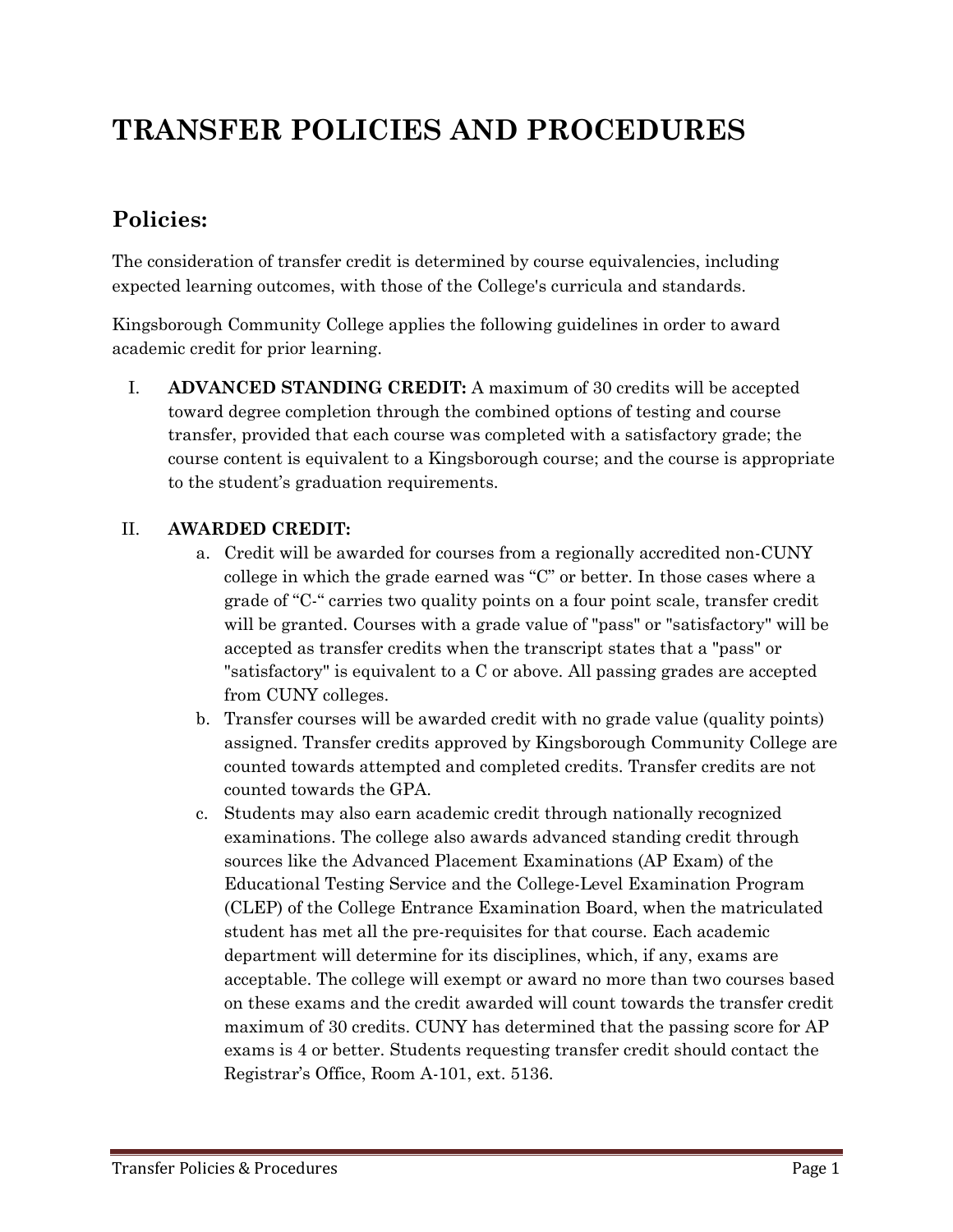# **TRANSFER POLICIES AND PROCEDURES**

## **Policies:**

The consideration of transfer credit is determined by course equivalencies, including expected learning outcomes, with those of the College's curricula and standards.

Kingsborough Community College applies the following guidelines in order to award academic credit for prior learning.

I. **ADVANCED STANDING CREDIT:** A maximum of 30 credits will be accepted toward degree completion through the combined options of testing and course transfer, provided that each course was completed with a satisfactory grade; the course content is equivalent to a Kingsborough course; and the course is appropriate to the student's graduation requirements.

#### II. **AWARDED CREDIT:**

- a. Credit will be awarded for courses from a regionally accredited non-CUNY college in which the grade earned was "C" or better. In those cases where a grade of "C-" carries two quality points on a four point scale, transfer credit will be granted. Courses with a grade value of "pass" or "satisfactory" will be accepted as transfer credits when the transcript states that a "pass" or "satisfactory" is equivalent to a C or above. All passing grades are accepted from CUNY colleges.
- b. Transfer courses will be awarded credit with no grade value (quality points) assigned. Transfer credits approved by Kingsborough Community College are counted towards attempted and completed credits. Transfer credits are not counted towards the GPA.
- c. Students may also earn academic credit through nationally recognized examinations. The college also awards advanced standing credit through sources like the Advanced Placement Examinations (AP Exam) of the Educational Testing Service and the College-Level Examination Program (CLEP) of the College Entrance Examination Board, when the matriculated student has met all the pre-requisites for that course. Each academic department will determine for its disciplines, which, if any, exams are acceptable. The college will exempt or award no more than two courses based on these exams and the credit awarded will count towards the transfer credit maximum of 30 credits. CUNY has determined that the passing score for AP exams is 4 or better. Students requesting transfer credit should contact the Registrar's Office, Room A-101, ext. 5136.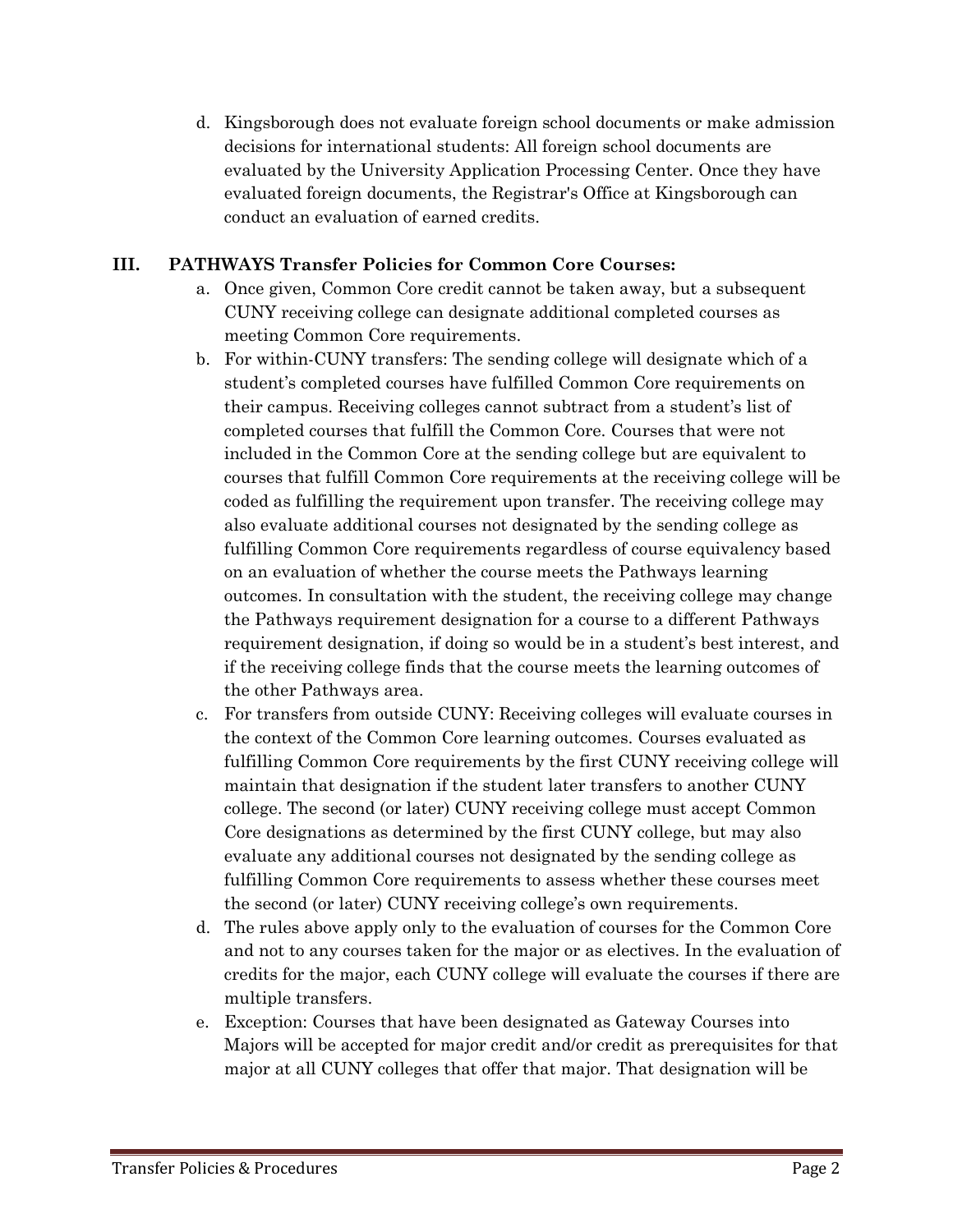d. Kingsborough does not evaluate foreign school documents or make admission decisions for international students: All foreign school documents are evaluated by the University Application Processing Center. Once they have evaluated foreign documents, the Registrar's Office at Kingsborough can conduct an evaluation of earned credits.

#### **III. PATHWAYS Transfer Policies for Common Core Courses:**

- a. Once given, Common Core credit cannot be taken away, but a subsequent CUNY receiving college can designate additional completed courses as meeting Common Core requirements.
- b. For within-CUNY transfers: The sending college will designate which of a student's completed courses have fulfilled Common Core requirements on their campus. Receiving colleges cannot subtract from a student's list of completed courses that fulfill the Common Core. Courses that were not included in the Common Core at the sending college but are equivalent to courses that fulfill Common Core requirements at the receiving college will be coded as fulfilling the requirement upon transfer. The receiving college may also evaluate additional courses not designated by the sending college as fulfilling Common Core requirements regardless of course equivalency based on an evaluation of whether the course meets the Pathways learning outcomes. In consultation with the student, the receiving college may change the Pathways requirement designation for a course to a different Pathways requirement designation, if doing so would be in a student's best interest, and if the receiving college finds that the course meets the learning outcomes of the other Pathways area.
- c. For transfers from outside CUNY: Receiving colleges will evaluate courses in the context of the Common Core learning outcomes. Courses evaluated as fulfilling Common Core requirements by the first CUNY receiving college will maintain that designation if the student later transfers to another CUNY college. The second (or later) CUNY receiving college must accept Common Core designations as determined by the first CUNY college, but may also evaluate any additional courses not designated by the sending college as fulfilling Common Core requirements to assess whether these courses meet the second (or later) CUNY receiving college's own requirements.
- d. The rules above apply only to the evaluation of courses for the Common Core and not to any courses taken for the major or as electives. In the evaluation of credits for the major, each CUNY college will evaluate the courses if there are multiple transfers.
- e. Exception: Courses that have been designated as Gateway Courses into Majors will be accepted for major credit and/or credit as prerequisites for that major at all CUNY colleges that offer that major. That designation will be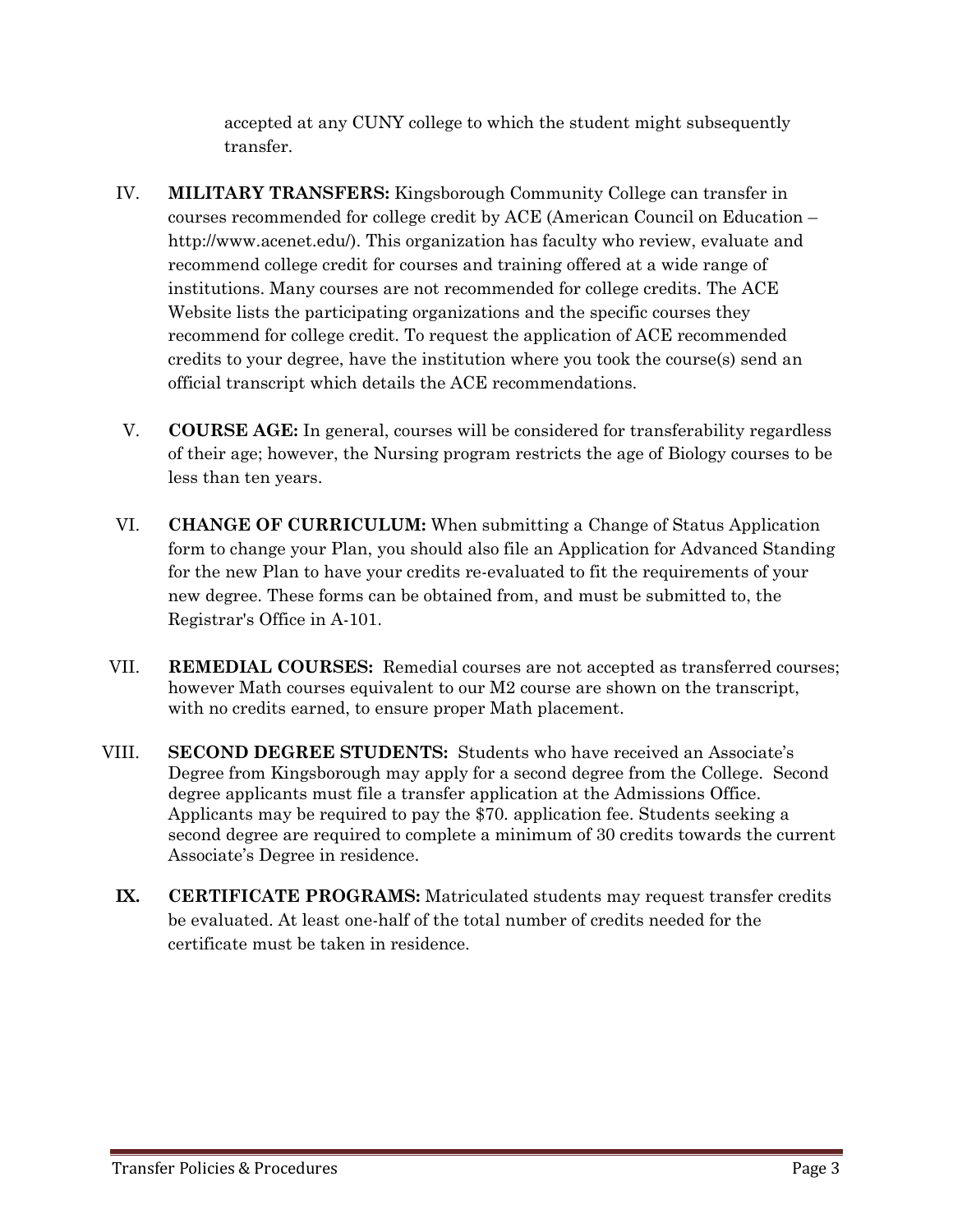accepted at any CUNY college to which the student might subsequently transfer.

- IV. **MILITARY TRANSFERS:** Kingsborough Community College can transfer in courses recommended for college credit by ACE (American Council on Education – http://www.acenet.edu/). This organization has faculty who review, evaluate and recommend college credit for courses and training offered at a wide range of institutions. Many courses are not recommended for college credits. The ACE Website lists the participating organizations and the specific courses they recommend for college credit. To request the application of ACE recommended credits to your degree, have the institution where you took the course(s) send an official transcript which details the ACE recommendations.
- V. **COURSE AGE:** In general, courses will be considered for transferability regardless of their age; however, the Nursing program restricts the age of Biology courses to be less than ten years.
- VI. **CHANGE OF CURRICULUM:** When submitting a Change of Status Application form to change your Plan, you should also file an Application for Advanced Standing for the new Plan to have your credits re-evaluated to fit the requirements of your new degree. These forms can be obtained from, and must be submitted to, the Registrar's Office in A-101.
- VII. **REMEDIAL COURSES:** Remedial courses are not accepted as transferred courses; however Math courses equivalent to our M2 course are shown on the transcript, with no credits earned, to ensure proper Math placement.
- VIII. **SECOND DEGREE STUDENTS:** Students who have received an Associate's Degree from Kingsborough may apply for a second degree from the College. Second degree applicants must file a transfer application at the Admissions Office. Applicants may be required to pay the \$70. application fee. Students seeking a second degree are required to complete a minimum of 30 credits towards the current Associate's Degree in residence.
	- **IX. CERTIFICATE PROGRAMS:** Matriculated students may request transfer credits be evaluated. At least one-half of the total number of credits needed for the certificate must be taken in residence.